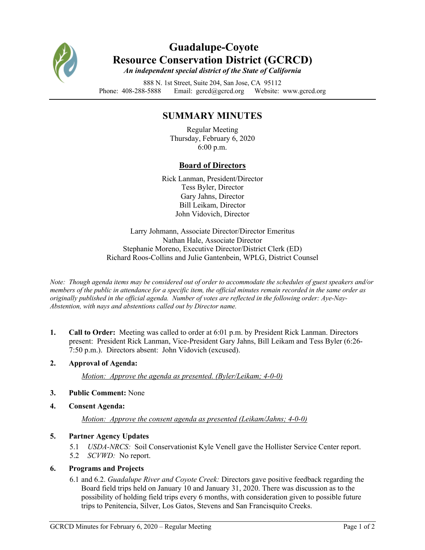

## **Guadalupe-Coyote Resource Conservation District (GCRCD)** *An independent special district of the State of California*

888 N. 1st Street, Suite 204, San Jose, CA 95112 Phone: 408-288-5888 Email: gcrcd@gcrcd.org Website: www.gcrcd.org

# **SUMMARY MINUTES**

Regular Meeting Thursday, February 6, 2020 6:00 p.m.

## **Board of Directors**

Rick Lanman, President/Director Tess Byler, Director Gary Jahns, Director Bill Leikam, Director John Vidovich, Director

Larry Johmann, Associate Director/Director Emeritus Nathan Hale, Associate Director Stephanie Moreno, Executive Director/District Clerk (ED) Richard Roos-Collins and Julie Gantenbein, WPLG, District Counsel

*Note: Though agenda items may be considered out of order to accommodate the schedules of guest speakers and/or members of the public in attendance for a specific item, the official minutes remain recorded in the same order as originally published in the official agenda. Number of votes are reflected in the following order: Aye-Nay-Abstention, with nays and abstentions called out by Director name.*

**1. Call to Order:** Meeting was called to order at 6:01 p.m. by President Rick Lanman. Directors present: President Rick Lanman, Vice-President Gary Jahns, Bill Leikam and Tess Byler (6:26- 7:50 p.m.). Directors absent: John Vidovich (excused).

## **2. Approval of Agenda:**

*Motion: Approve the agenda as presented. (Byler/Leikam; 4-0-0)*

#### **3. Public Comment:** None

**4. Consent Agenda:**

*Motion: Approve the consent agenda as presented (Leikam/Jahns; 4-0-0)*

## **5. Partner Agency Updates**

5.1 *USDA-NRCS:* Soil Conservationist Kyle Venell gave the Hollister Service Center report. 5.2 *SCVWD:* No report.

## **6. Programs and Projects**

6.1 and 6.2. *Guadalupe River and Coyote Creek:* Directors gave positive feedback regarding the Board field trips held on January 10 and January 31, 2020. There was discussion as to the possibility of holding field trips every 6 months, with consideration given to possible future trips to Penitencia, Silver, Los Gatos, Stevens and San Francisquito Creeks.